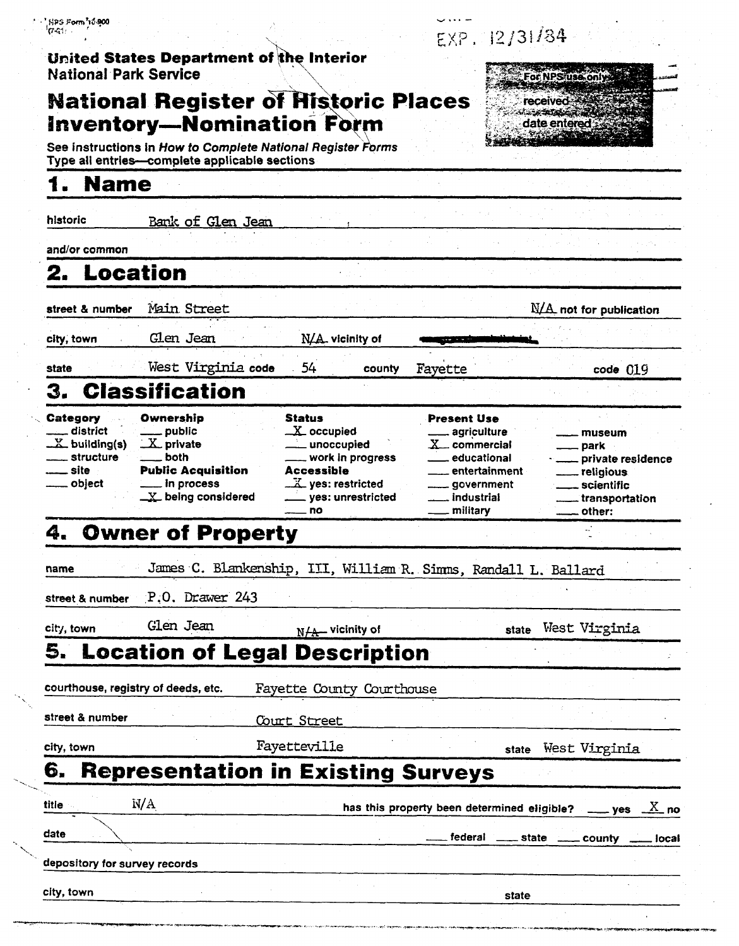| <b>National Park Service</b>                        |                                                                                       | United States Department of the Interior                                                                |                                                                                             | For NPS use only:                                                                  |
|-----------------------------------------------------|---------------------------------------------------------------------------------------|---------------------------------------------------------------------------------------------------------|---------------------------------------------------------------------------------------------|------------------------------------------------------------------------------------|
|                                                     |                                                                                       | <b>National Register of Historic Places</b>                                                             |                                                                                             | received<br>ාන රාජකයන ස                                                            |
|                                                     |                                                                                       | <b>Inventory-Nomination Form</b><br>See instructions in How to Complete National Register Forms         |                                                                                             | date entered                                                                       |
|                                                     | Type all entries-complete applicable sections                                         |                                                                                                         |                                                                                             |                                                                                    |
| <b>Name</b>                                         |                                                                                       |                                                                                                         |                                                                                             |                                                                                    |
| historic                                            | <u>Bank of Glen Jean</u>                                                              |                                                                                                         |                                                                                             |                                                                                    |
| and/or common                                       |                                                                                       |                                                                                                         |                                                                                             |                                                                                    |
| 2. Location                                         |                                                                                       |                                                                                                         |                                                                                             |                                                                                    |
| street & number                                     | Main Street                                                                           |                                                                                                         |                                                                                             | $N/A$ not for publication                                                          |
| city, town                                          | Clen Jean                                                                             | N/A. vicinity of                                                                                        |                                                                                             |                                                                                    |
| state                                               | West Virginia code                                                                    | 54<br>county                                                                                            | Fayette                                                                                     | $code$ $019$                                                                       |
| З.                                                  | <b>Classification</b>                                                                 |                                                                                                         |                                                                                             |                                                                                    |
| $X$ building(s)<br>structure<br>__ site<br>_ object | $X$ private<br>both<br><b>Public Acquisition</b><br>in process<br>LY being considered | unoccupied<br>work in progress<br><b>Accessible</b><br>$X$ yes: restricted<br>_ yes: unrestricted<br>no | $X_{-}$ commercial<br>educational<br>entertainment<br><u>_</u> ___ government<br>_ military | private residence<br>___ religious<br>_ scientific<br>. transportation<br>. other: |
|                                                     | <b>Owner of Property</b>                                                              |                                                                                                         |                                                                                             |                                                                                    |
| name                                                |                                                                                       | James C. Blankenship, III, William R. Simms, Randall L. Ballard                                         |                                                                                             |                                                                                    |
| street & number                                     | P.O. Drawer 243                                                                       |                                                                                                         |                                                                                             |                                                                                    |
| city, town                                          | Glen Jean                                                                             | $N/A$ vicinity of                                                                                       | state                                                                                       | West Virginia                                                                      |
| 5.                                                  |                                                                                       | <b>Location of Legal Description</b>                                                                    |                                                                                             |                                                                                    |
|                                                     | courthouse, registry of deeds, etc.                                                   | Fayette County Courthouse                                                                               |                                                                                             |                                                                                    |
| street & number                                     |                                                                                       | Court Street                                                                                            |                                                                                             |                                                                                    |
| city, town                                          |                                                                                       | Fayetteville                                                                                            | state                                                                                       | West Virginia                                                                      |
| 6.                                                  |                                                                                       | <b>Representation in Existing Surveys</b>                                                               |                                                                                             |                                                                                    |
| title                                               | N/A                                                                                   |                                                                                                         |                                                                                             |                                                                                    |
|                                                     |                                                                                       |                                                                                                         | has this property been determined eligible?<br>federal<br>state                             | $\frac{X}{2}$ no<br><b>ves</b>                                                     |
| date                                                |                                                                                       |                                                                                                         |                                                                                             | county<br>local                                                                    |
| depository for survey records                       |                                                                                       |                                                                                                         |                                                                                             |                                                                                    |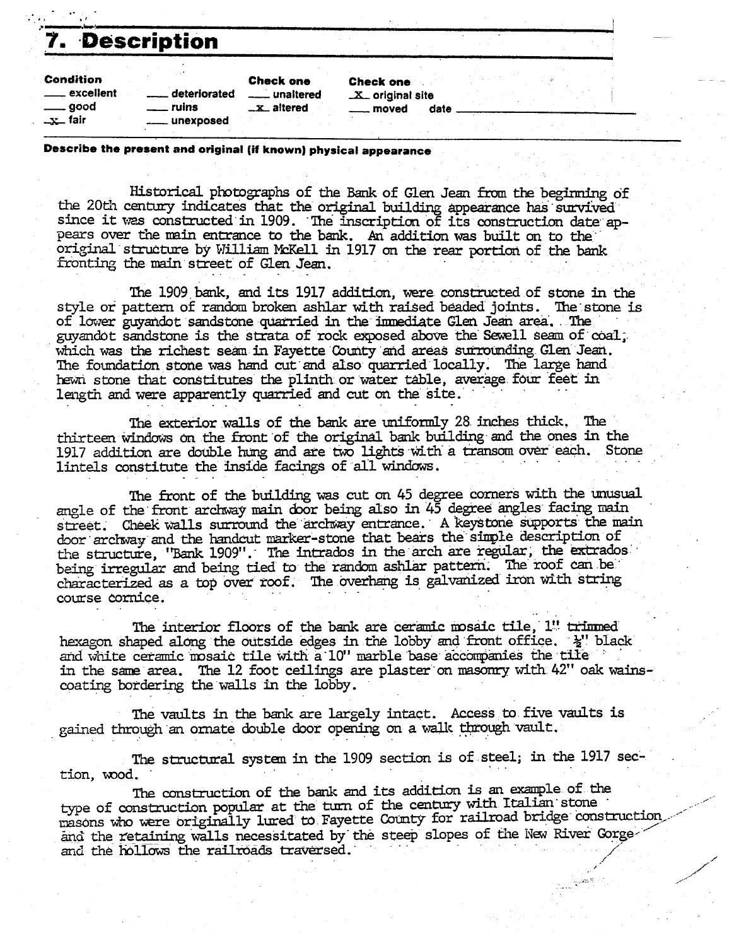## **f-5** - I **7. Description**

| <b>Description</b>                                              |                                    |                                                    |                                               |      |
|-----------------------------------------------------------------|------------------------------------|----------------------------------------------------|-----------------------------------------------|------|
| <b>Condition</b><br><u>__</u> __ excellent<br>good<br>$-x$ fair | deteriorated<br>ruins<br>unexposed | <b>Check one</b><br>unaltered<br><b>_x_altered</b> | <b>Check one</b><br>X_ original site<br>moved | date |

#### **Describe the present and original (if known) physical appearance**

Historical photographs of the Bank of Glen Jean from the beginning of the 20th century indicates that the original building appearance has survived<br>since it was constructed in 1909. The inscription of its construction date appears over the main entrance to the bank. An addition was built on to the original structure by William McKell in 1917 on the rear portion of the bank fronting the main street of Glen Jean.

The 1909 **bank,** and **its** 1917 **additim,** were constructed of stone in the style or pattern of random broken **ashlar** with raised b&&d joints. **%'stone** is of lower guyandot sandstone quarried in the immediate Glen Jean area. The guyandot sandstone is the strata of rock exposed above the Sewell seam of coal, guyandot sandstone is the strata of rock exposed above the Sewell seam of coal, which was the richest seam in Fayette County and areas surrounding Glen Jean. The foundation stone was hand cut and also quarried locally. The large hand hewn stone that constitutes the plinth or water table, average four feet in hewn stone that constitutes the plinth or water table, average four feet in length and were apparently quarried and cut on the site.

The exterior walls of the **bank** are uniformly 28 inches thick. The thirteen windows on the front of the original bank building and the **ones** in the 1917 addition are double hung and are two lights with a transom over each. Stone lintels constitute the inside facings of all windows.

The front of the building was cut on 45 degree corners with the unusual **angle** of the front **archway main** &or behg also in 45 degree angles facing nain street. Cheek walls surround the archway entrance. A keystone supports the main door archway and the handcut marker-stone that bears the simple description of the structure, 'Bank 1909''. The intrados in the arch are regular, the extrados' being irregular and being tied to the random ashlar pattern. The roof can be characterized as a top over roof. The *ovahang* is galvanized iron wlth string course cornice.

The interior floors of the bank are ceramic mosaic tile, l'' trimmed<br>hexagon shaped along the outside edges in the lobby and front office.  $\frac{1}{2}$ '' black and white ceramic mosaic tile with a 10" marble base accompanies the tile in the same area. The 12 foot ceilings are plaster on masonry with 42" oak wainscoating bordering the walls in the lobby.

The vaults in the bank are largely intact. Access **to** five vaults is gained through an ornate double door opening on a walk through vault.

The structural system in the 1909 section is of steel; in the 1917 section, wood.

**The** canstruction of the **bank** and its addition is an example of the type of construction popular at the turn of the century with Italian stone masons who were originally lured to Fayette County for railroad bridge construction and the retaining walls necessitated by the steep slopes of the New River Gorge- and the hollows the railroads traversed.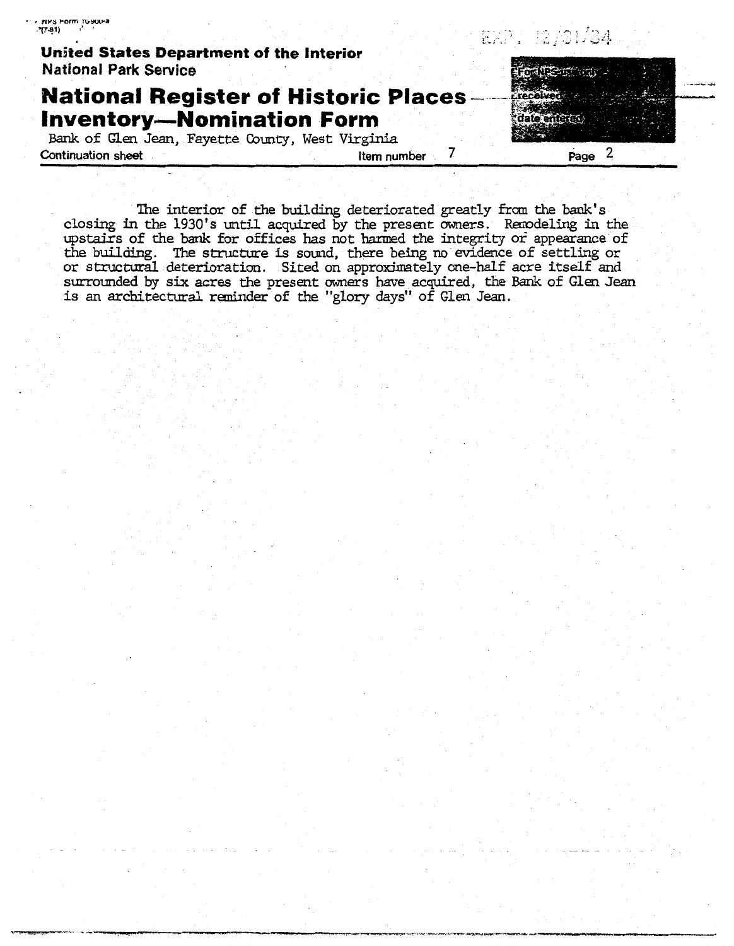| United States Department of the Interior                                                                                            |             | P RKPI (2701/34) |
|-------------------------------------------------------------------------------------------------------------------------------------|-------------|------------------|
| <b>National Park Service</b>                                                                                                        |             |                  |
| <b>National Register of Historic Places</b><br><b>Inventory-Nomination Form</b><br>Bank of Glen Jean, Fayette County, West Virginia |             |                  |
| <b>Continuation sheet</b>                                                                                                           | Item number | Page             |

. **wb Form ,wwa** 

The interior of the building deteriorated greatly from the bank's closing in the 1930's until acquired by the present owners. Renodeling in the upstairs of the **bank** for offices has not harmed the integrity or appearance of the **building. The** structure is sand, there being no evidence of settling or or structural deterioration. Sited on approximately one-half acre itself and surrounded by six **acres** the present owners **have** acquired, the Bank of Glen **Jean**  is an architectural reminder of the "glory days" of Glen **Jean.**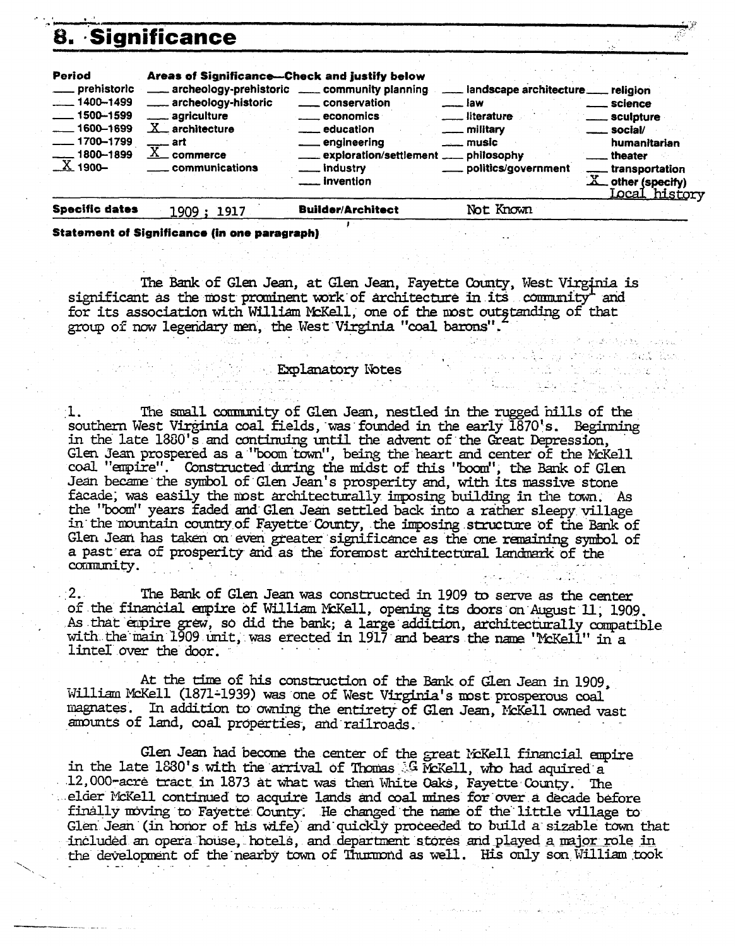|                                                                                                                                           | 8. Significance                                                                                                                                                                                                                            |                                                                                                                                                                               |                                                                                                                                                            |                                                                                                                                                                      |
|-------------------------------------------------------------------------------------------------------------------------------------------|--------------------------------------------------------------------------------------------------------------------------------------------------------------------------------------------------------------------------------------------|-------------------------------------------------------------------------------------------------------------------------------------------------------------------------------|------------------------------------------------------------------------------------------------------------------------------------------------------------|----------------------------------------------------------------------------------------------------------------------------------------------------------------------|
| Period<br>___ prehistoric<br>$-1400 - 1499$<br>$\frac{1}{2}$ 1500-1599<br>$-1600 - 1699$<br>$-1700 - 1799$<br>$-1800 - 1899$<br>$X$ 1900- | Areas of Significance-Check and justify below<br>archeology-prehistoric _____ community planning<br>archeology-historic<br><u>__</u> __ agriculture<br>$X_{-}$ architecture<br>___ art<br>$\overline{\text{X}}$ commerce<br>communications | conservation<br><b>Example 2</b> economics<br><u>__</u> education<br><u>_</u> __ engineering<br>exploration/settlement __ philosophy<br>___ industry<br><u>__</u> _ invention | ___ landscape architecture __ religion<br><sub>___</sub> law<br>___ literature<br><u>_</u> ___ military<br><u>__</u> ___ music<br>____ politics/government | <u>__</u> __ science<br><u>_</u> __ sculpture<br>___ social/<br>humanitarian<br>theater<br><u></u> transportation<br>$X_{-}$ other (specify)<br><u> Local histor</u> |
| <b>Chaeilie datas</b>                                                                                                                     |                                                                                                                                                                                                                                            | <b>Duilden/Anglilage</b>                                                                                                                                                      | $N_{\Omega}$ $\sim$ $V_{\Omega}$ $\sim$ $\sim$                                                                                                             |                                                                                                                                                                      |

**Statement of Significance (in one paragraph)** 

The Bank of Glen Jean, at Glen Jean, Fayette County, West Virginia is significant as the most prominent work of architecture in its community and for its association with William McKell, one of the most outstanding of that group of now legendary men, the West Virginia "coal barons".

### **Explanatory Notes**

The small community of Glen Jean, nestled in the rugged hills of the  $\cdot \mathbf{I}$  . southern West Virginia coal fields, was founded in the early 1870's. Beginning in the late 1880's and continuing until the advent of the Great Depression, Glen Jean prospered as a "boom town", being the heart and center of the McKell coal "empire". Constructed during the midst of this "boom", the Bank of Glen Jean became the symbol of Glen Jean's prosperity and, with its massive stone facade, was easily the most architecturally imposing building in the town. As the "boom" years faded and Glen Jean settled back into a rather sleepy village in the mountain country of Fayette County, the imposing structure of the Bank of Glen Jean has taken on even greater significance as the one remaining symbol of a past era of prosperity and as the foremost architectural landmark of the community.

The Bank of Glen Jean was constructed in 1909 to serve as the center  $2.1$ of the financial empire of William McKell, opening its doors on August 11, 1909. As that empire grew, so did the bank; a large addition, architecturally compatible with the main 1909 unit, was erected in 1917 and bears the name "McKell" in a lintel over the door.

At the time of his construction of the Bank of Glen Jean in 1909, William McKell (1871-1939) was one of West Virginia's most prosperous coal magnates. In addition to owning the entirety of Glen Jean, McKell owned vast amounts of land, coal properties, and railroads.

Glen Jean had become the center of the great McKell financial empire in the late 1880's with the arrival of Thomas G McKell, who had aquired a 12,000-acre tract in 1873 at what was then White Oaks, Fayette County. The elder McKell continued to acquire lands and coal mines for over a decade before finally moving to Fayette County. He changed the name of the little village to Glen Jean (in honor of his wife) and quickly proceeded to build a sizable town that included an opera house, hotels, and department stores and played a major role in the development of the nearby town of Thumond as well. His only son William took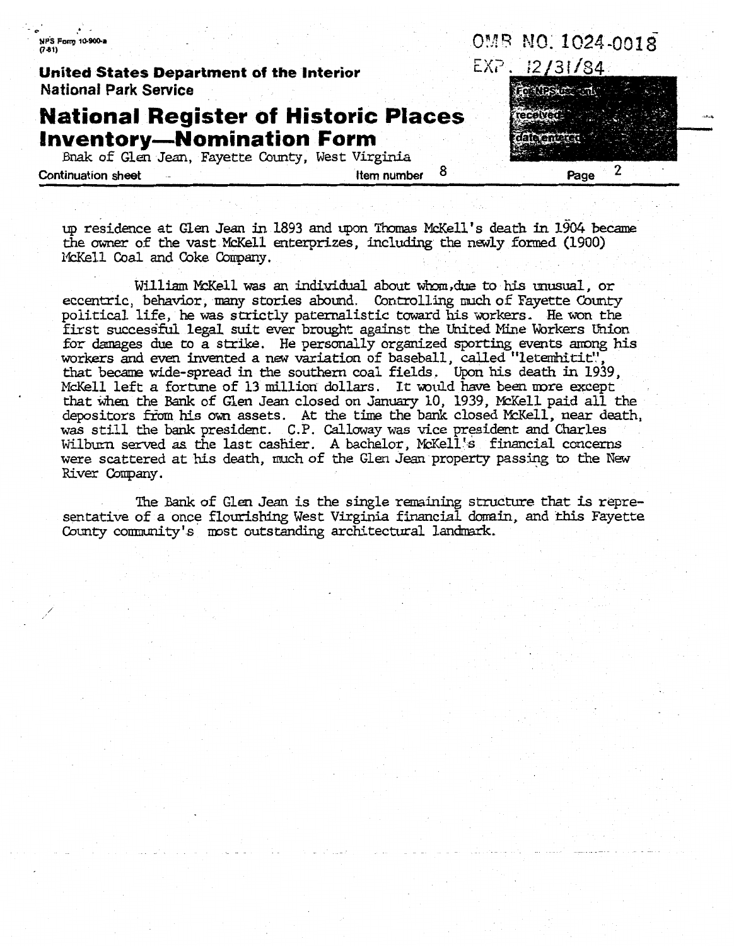| NPS Form 10-900-a<br>$(7-81)$                                            |             | OMB NO.1024-0018                    |
|--------------------------------------------------------------------------|-------------|-------------------------------------|
| United States Department of the Interior<br><b>National Park Service</b> |             | EXP. 12/31/84.<br><b>Sheath !!!</b> |
| <b>National Register of Historic Places</b>                              |             |                                     |
| <b>Inventory-Nomination Form</b>                                         |             |                                     |
| Bnak of Glen Jean, Fayette County, West Virginia                         |             |                                     |
| <b>Continuation sheet</b>                                                | Item number | Page                                |

up residence at Glen **Jew** in 1893 and **upon** W McKell's death in **1%4** bethe owner of the vast McKell enterprizes, including the **newly** formed (1900) McKell Coal and Coke Company.

William McKell was an individual about whom, due to his unusual, or eccentric, behavior, many stories abound. Controlling much of Fayette County political life, he was strictly paternalistic toward his workers. He won the first successful legal suit ever brought against the United Mine Workers Union for damages due to a strike. He personally organized sporting events among his workers and even invented *a* **new** variation of baseball, called "letemhitit',', orkers and even invented a new variation of baseball, called "letemhitit", which is death in 1939, .<br>hat became wide-spread in the southern coal fields. Upon his death in 1939, . that became wide-spread in the southern coal fields. Upon his death in 1939, McKell left a fortune of 13 million dollars. It would have been more except that when the Bank of Glen Jean closed on January 10, 1939, McKell paid all the depositors from his own assets. At the time the bank closed McKell paid all the epositors from his own assets. At the time the bank closed McKell, near death, was still the bank president. **C.P.** Calloway was vice president and **Charles**  as still the bank president. C.P. Calloway was vice president and Charles<br>ilburn served as the last cashier. A bachelor, McKell's financial concerns were scattered at his death, much of the Glen **Jean** propeag passing **to the** New River Company.

The Bank of Glen Jean is the single remaining structure that is representative of a once flourishing West Virginia financial domain, and this Fayette County community's most outstanding architectural landmark.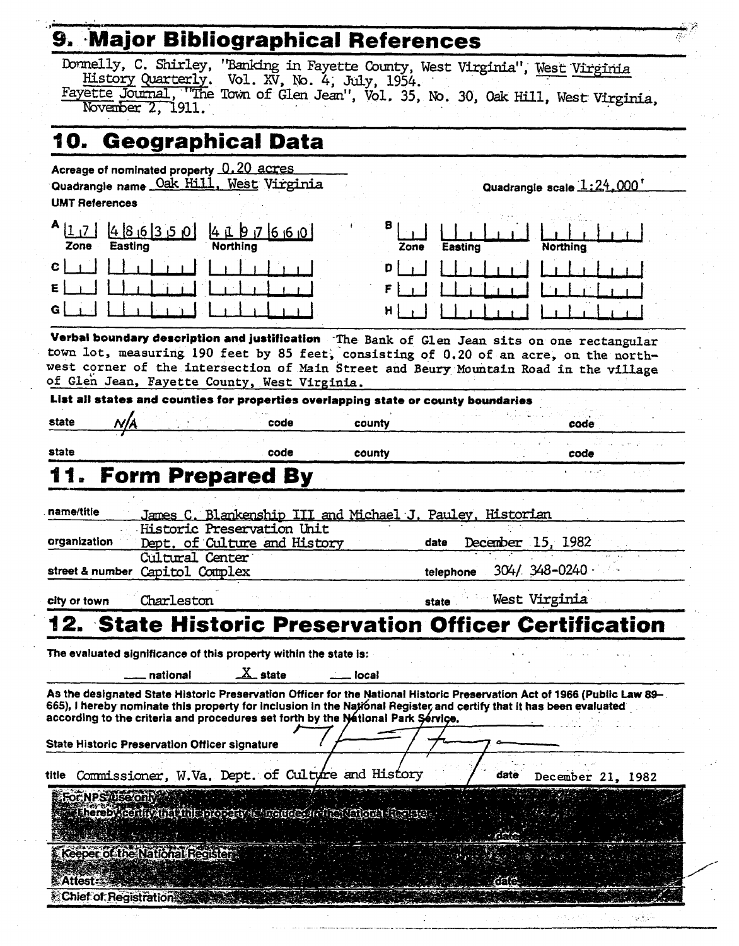| 9. Major Bibliographical References                                                                                                                                                                                                                                                                                           |                                                                  |                                                                                                                          |
|-------------------------------------------------------------------------------------------------------------------------------------------------------------------------------------------------------------------------------------------------------------------------------------------------------------------------------|------------------------------------------------------------------|--------------------------------------------------------------------------------------------------------------------------|
| Donnelly, C. Shirley, "Banking in Fayette County, West Virginia", West Virginia<br>History Quarterly. Vol. XV, No. 4, July, 1954.<br>November 2, 1911.                                                                                                                                                                        |                                                                  | Fayette Journal, "The Town of Glen Jean", Vol. 35, No. 30, Oak Hill, West Virginia,                                      |
|                                                                                                                                                                                                                                                                                                                               |                                                                  |                                                                                                                          |
| 10. Geographical Data                                                                                                                                                                                                                                                                                                         |                                                                  |                                                                                                                          |
| Acreage of nominated property 0.20 acres<br>Quadrangle name Oak Hill, West Virginia<br><b>UMT References</b>                                                                                                                                                                                                                  |                                                                  | Quadrangle scale 1:24.000'                                                                                               |
| 48,613,50<br>4097660<br>Northing<br>Easting<br>Zone                                                                                                                                                                                                                                                                           | 8<br>Zone                                                        | <b>Northing</b><br>Easting                                                                                               |
| C<br>ε                                                                                                                                                                                                                                                                                                                        | D                                                                |                                                                                                                          |
| Verbal boundary description and justification The Bank of Glen Jean sits on one rectangular<br>town lot, measuring 190 feet by 85 feet, consisting of 0.20 of an acre, on the north-<br>west corner of the intersection of Main Street and Beury Mountain Road in the village<br>of Glen Jean, Fayette County, West Virginia. |                                                                  |                                                                                                                          |
| List all states and counties for properties overlapping state or county boundaries                                                                                                                                                                                                                                            |                                                                  |                                                                                                                          |
| state                                                                                                                                                                                                                                                                                                                         | code<br>county                                                   | code                                                                                                                     |
| state                                                                                                                                                                                                                                                                                                                         | code<br>county                                                   | code                                                                                                                     |
| 11. Form Prepared By<br>name/title<br>Historic Preservation Unit                                                                                                                                                                                                                                                              | <u>James C. Blankenship III and Michael J. Pauley, Historian</u> |                                                                                                                          |
| organization<br>Dept. of Culture and History                                                                                                                                                                                                                                                                                  | date                                                             | December 15, 1982                                                                                                        |
| Cultural Center<br>street & number Capitol Complex                                                                                                                                                                                                                                                                            |                                                                  | $304/$ $348 - 0240$<br>telephone                                                                                         |
| Charleston<br>city or town                                                                                                                                                                                                                                                                                                    | state                                                            | West Virginia                                                                                                            |
|                                                                                                                                                                                                                                                                                                                               |                                                                  | 12. State Historic Preservation Officer Certification                                                                    |
| The evaluated significance of this property within the state is:<br>$\underline{X}$ state<br>national                                                                                                                                                                                                                         | local                                                            |                                                                                                                          |
| 665), I hereby nominate this property for inclusion in the National Register, and certify that it has been evaluated<br>according to the criteria and procedures set forth by the National Park Service.                                                                                                                      |                                                                  | As the designated State Historic Preservation Officer for the National Historic Preservation Act of 1966 (Public Law 89– |
| State Historic Preservation Officer signature                                                                                                                                                                                                                                                                                 |                                                                  |                                                                                                                          |
| Commissioner, W.Va. Dept. of Culture and History<br>title                                                                                                                                                                                                                                                                     |                                                                  | date<br>December 21, 1982                                                                                                |
| For NPS Use only<br>Thereby configuration into property to the detail into the figure and the second                                                                                                                                                                                                                          |                                                                  | r er e                                                                                                                   |
| <b>Keeper of the National Register</b>                                                                                                                                                                                                                                                                                        |                                                                  |                                                                                                                          |
| Attest:                                                                                                                                                                                                                                                                                                                       |                                                                  | රත්ර                                                                                                                     |
| <b>Chief of Registration &amp;</b>                                                                                                                                                                                                                                                                                            |                                                                  |                                                                                                                          |

لأراد

 $\frac{1}{2} \sum_{i=1}^n \frac{1}{2} \sum_{j=1}^n \frac{1}{2} \sum_{j=1}^n \frac{1}{2} \sum_{j=1}^n \frac{1}{2} \sum_{j=1}^n \frac{1}{2} \sum_{j=1}^n \frac{1}{2} \sum_{j=1}^n \frac{1}{2} \sum_{j=1}^n \frac{1}{2} \sum_{j=1}^n \frac{1}{2} \sum_{j=1}^n \frac{1}{2} \sum_{j=1}^n \frac{1}{2} \sum_{j=1}^n \frac{1}{2} \sum_{j=1}^n \frac{1}{2} \sum_{j=$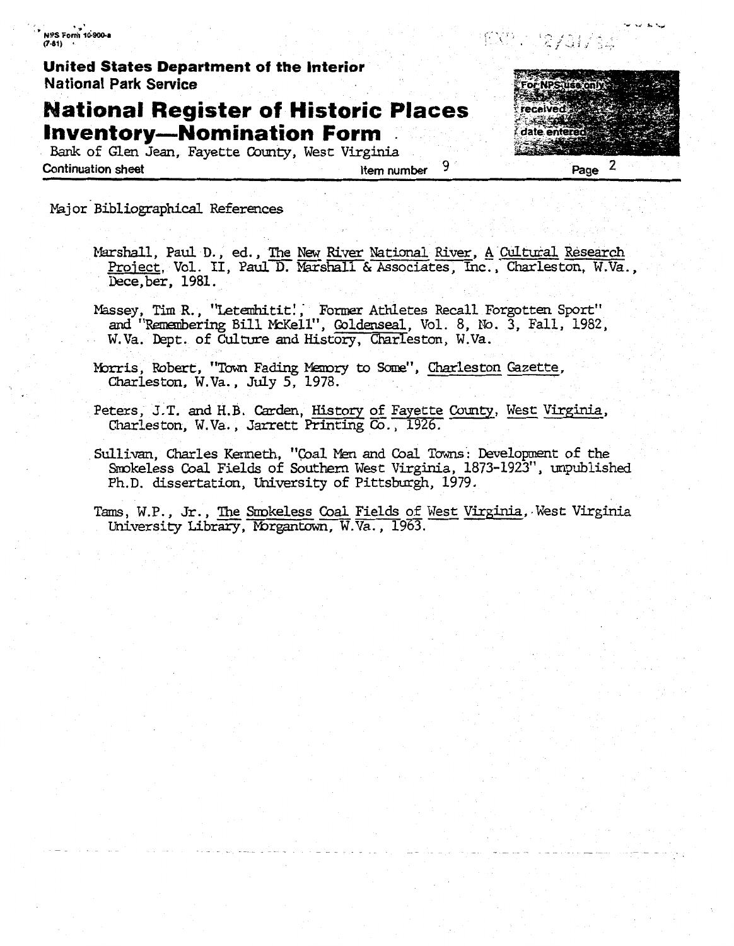NPS Form 10-900-a  $(7-81)$ 

United States Department of the Interior **National Park Service** 

# **National Register of Historic Places Inventory-Nomination Form**

Bank of Glen Jean, Fayette County, West Virginia **Continuation sheet** 

9 Item number

2 Page

EXP: Jayar/sw

Major Bibliographical References

- Marshall, Paul D., ed., The New River National River, <u>A Cultural</u> Research Project, Vol. II, Paul D. Marshall & Associates, Inc., Charleston, W.Va., Dece, ber, 1981.
- Massey, Tim R., "Letembitit!, Former Athletes Recall Forgotten Sport" and "Remembering Bill McKell", Goldenseal, Vol. 8, No. 3, Fall, 1982, W.Va. Dept. of Culture and History, Charleston, W.Va.
- Morris, Robert, "Town Fading Memory to Some", Charleston Gazette, Charleston, W.Va., July 5, 1978.
- Peters, J.T. and H.B. Carden, History of Fayette County, West Virginia, Charleston, W.Va., Jarrett Printing Co., 1926.
- Sullivan, Charles Kenneth, "Coal Men and Coal Towns: Development of the Smokeless Coal Fields of Southern West Virginia, 1873-1923", unpublished Ph.D. dissertation, University of Pittsburgh, 1979.

Tams, W.P., Jr., The Smokeless Coal Fields of West Virginia, West Virginia University Library, Morgantown, W.Va., 1963.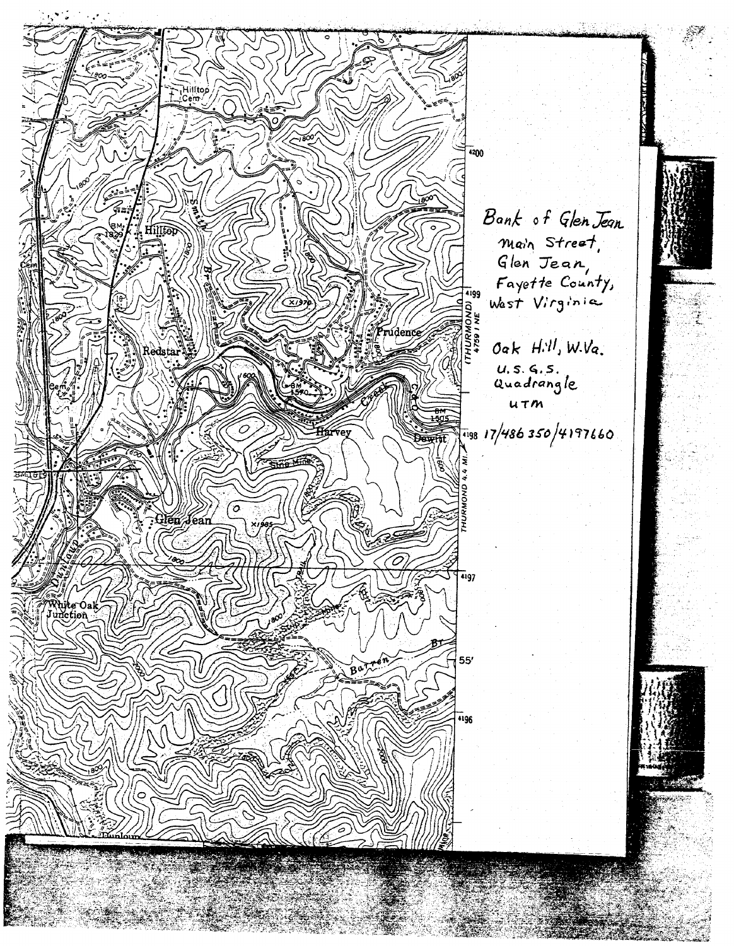